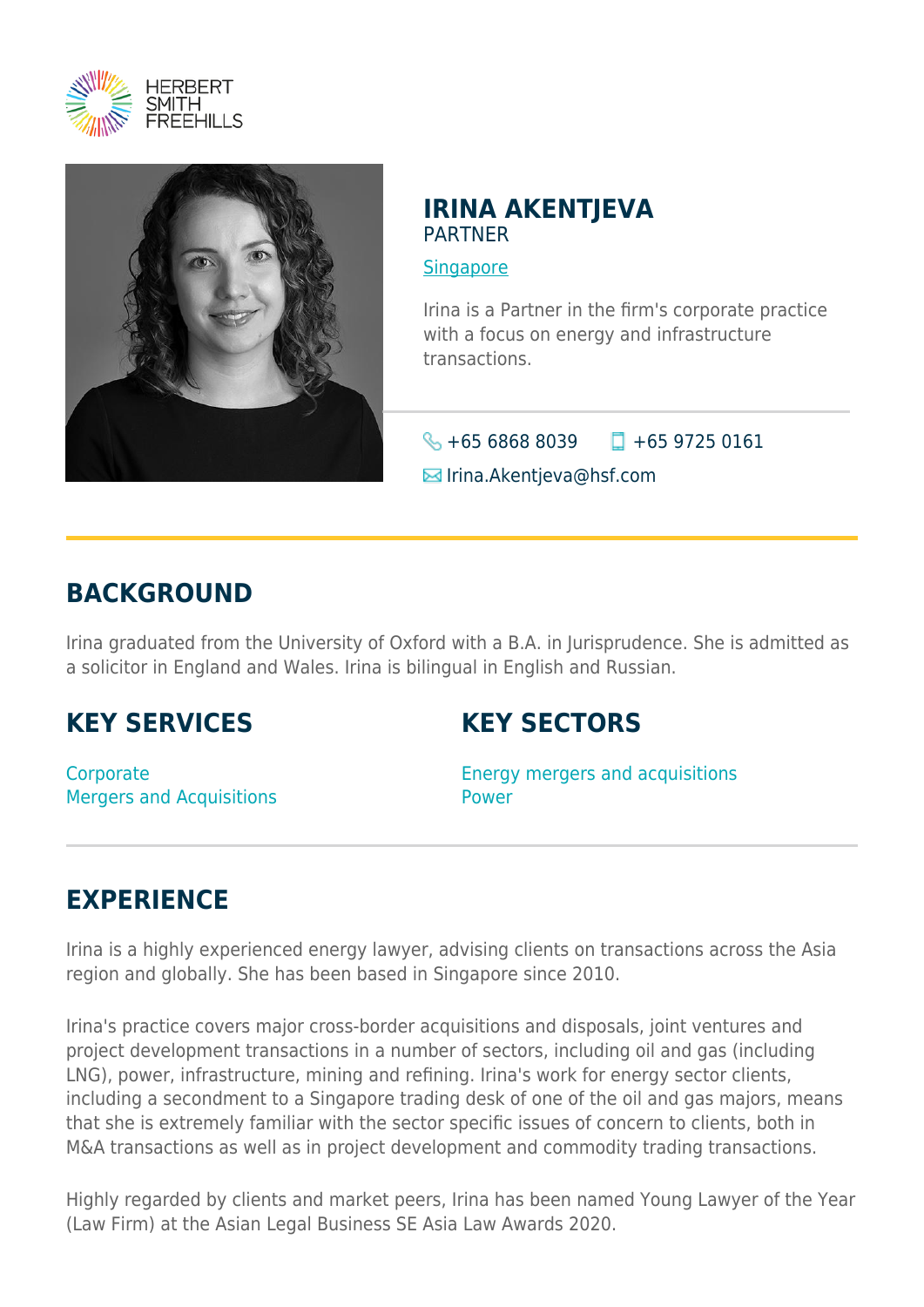



### **IRINA AKENTJEVA** PARTNER

**[Singapore](https://www.herbertsmithfreehills.com/lang-zh-hans/where-we-work/singapore)** 

Irina is a Partner in the firm's corporate practice with a focus on energy and infrastructure transactions.

 $\bigotimes$  +65 6868 8039  $\Box$  +65 9725 0161

**E**Irina.Akentjeva@hsf.com

# **BACKGROUND**

Irina graduated from the University of Oxford with a B.A. in Jurisprudence. She is admitted as a solicitor in England and Wales. Irina is bilingual in English and Russian.

## **KEY SERVICES**

## **KEY SECTORS**

**Corporate** Mergers and Acquisitions Energy mergers and acquisitions Power

# **EXPERIENCE**

Irina is a highly experienced energy lawyer, advising clients on transactions across the Asia region and globally. She has been based in Singapore since 2010.

Irina's practice covers major cross-border acquisitions and disposals, joint ventures and project development transactions in a number of sectors, including oil and gas (including LNG), power, infrastructure, mining and refining. Irina's work for energy sector clients, including a secondment to a Singapore trading desk of one of the oil and gas majors, means that she is extremely familiar with the sector specific issues of concern to clients, both in M&A transactions as well as in project development and commodity trading transactions.

Highly regarded by clients and market peers, Irina has been named Young Lawyer of the Year (Law Firm) at the Asian Legal Business SE Asia Law Awards 2020.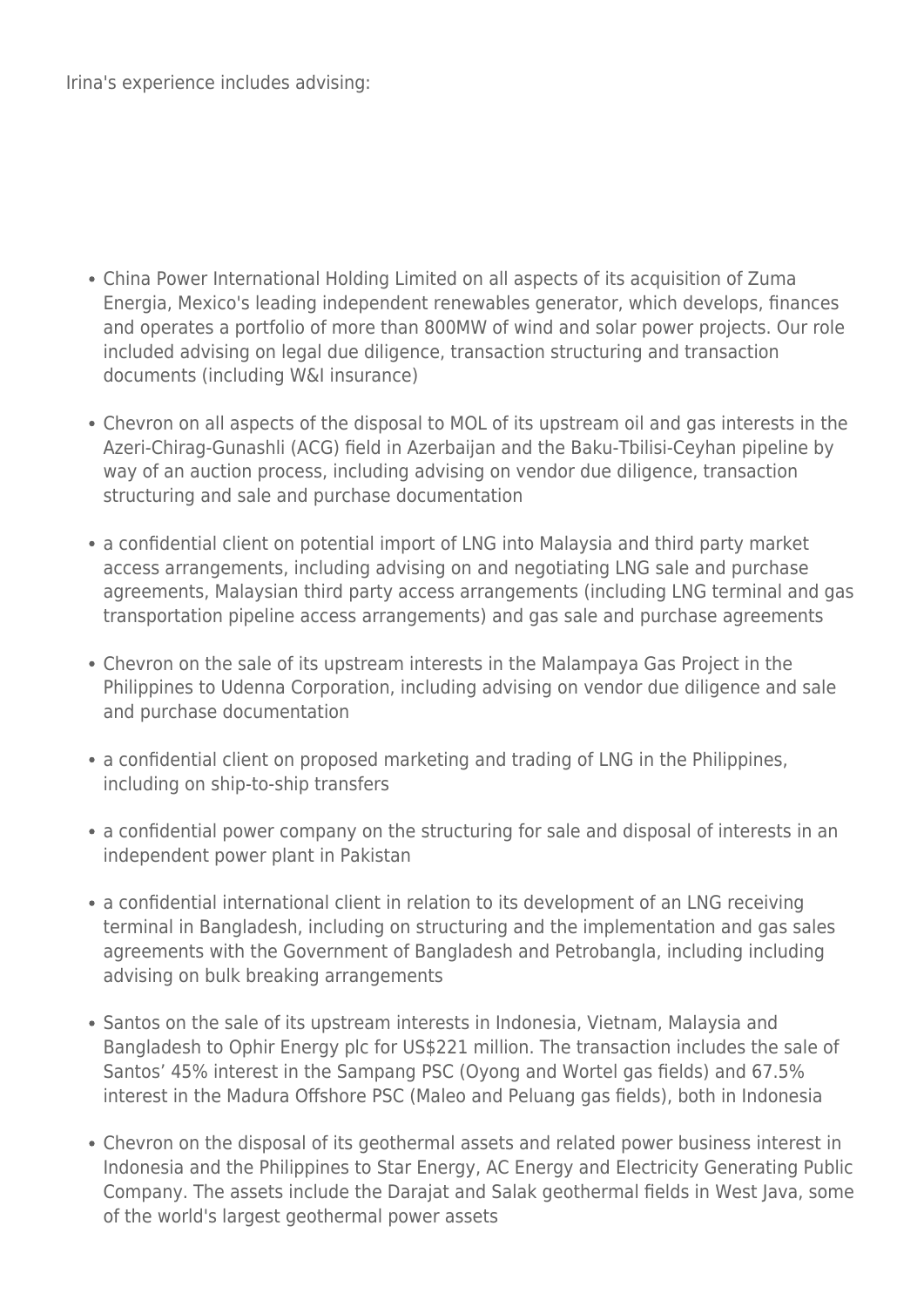Irina's experience includes advising:

- China Power International Holding Limited on all aspects of its acquisition of Zuma Energia, Mexico's leading independent renewables generator, which develops, finances and operates a portfolio of more than 800MW of wind and solar power projects. Our role included advising on legal due diligence, transaction structuring and transaction documents (including W&I insurance)
- Chevron on all aspects of the disposal to MOL of its upstream oil and gas interests in the Azeri-Chirag-Gunashli (ACG) field in Azerbaijan and the Baku-Tbilisi-Ceyhan pipeline by way of an auction process, including advising on vendor due diligence, transaction structuring and sale and purchase documentation
- a confidential client on potential import of LNG into Malaysia and third party market access arrangements, including advising on and negotiating LNG sale and purchase agreements, Malaysian third party access arrangements (including LNG terminal and gas transportation pipeline access arrangements) and gas sale and purchase agreements
- Chevron on the sale of its upstream interests in the Malampaya Gas Project in the Philippines to Udenna Corporation, including advising on vendor due diligence and sale and purchase documentation
- a confidential client on proposed marketing and trading of LNG in the Philippines, including on ship-to-ship transfers
- a confidential power company on the structuring for sale and disposal of interests in an independent power plant in Pakistan
- a confidential international client in relation to its development of an LNG receiving terminal in Bangladesh, including on structuring and the implementation and gas sales agreements with the Government of Bangladesh and Petrobangla, including including advising on bulk breaking arrangements
- Santos on the sale of its upstream interests in Indonesia, Vietnam, Malaysia and Bangladesh to Ophir Energy plc for US\$221 million. The transaction includes the sale of Santos' 45% interest in the Sampang PSC (Oyong and Wortel gas fields) and 67.5% interest in the Madura Offshore PSC (Maleo and Peluang gas fields), both in Indonesia
- Chevron on the disposal of its geothermal assets and related power business interest in Indonesia and the Philippines to Star Energy, AC Energy and Electricity Generating Public Company. The assets include the Darajat and Salak geothermal fields in West Java, some of the world's largest geothermal power assets